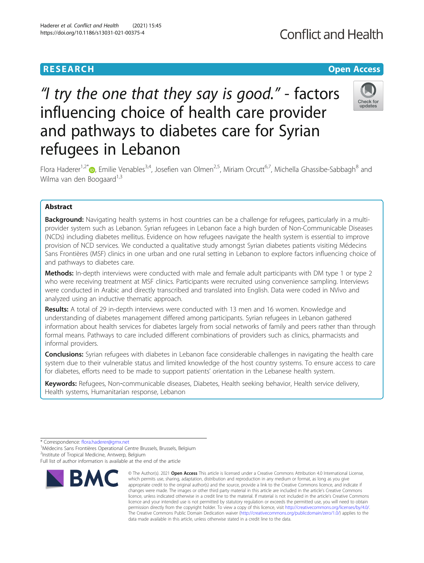# **RESEARCH CHE Open Access**

# "I try the one that they say is good." - factors influencing choice of health care provider and pathways to diabetes care for Syrian refugees in Lebanon



Flora Haderer<sup>1[,](http://orcid.org/0000-0001-8310-2173)2\*</sup> <sub>D</sub>, Emilie Venables<sup>3,4</sup>, Josefien van Olmen<sup>2,5</sup>, Miriam Orcutt<sup>6,7</sup>, Michella Ghassibe-Sabbagh<sup>8</sup> and Wilma van den Boogaard $1,3$ 

# Abstract

Background: Navigating health systems in host countries can be a challenge for refugees, particularly in a multiprovider system such as Lebanon. Syrian refugees in Lebanon face a high burden of Non-Communicable Diseases (NCDs) including diabetes mellitus. Evidence on how refugees navigate the health system is essential to improve provision of NCD services. We conducted a qualitative study amongst Syrian diabetes patients visiting Médecins Sans Frontières (MSF) clinics in one urban and one rural setting in Lebanon to explore factors influencing choice of and pathways to diabetes care.

Methods: In-depth interviews were conducted with male and female adult participants with DM type 1 or type 2 who were receiving treatment at MSF clinics. Participants were recruited using convenience sampling. Interviews were conducted in Arabic and directly transcribed and translated into English. Data were coded in NVivo and analyzed using an inductive thematic approach.

Results: A total of 29 in-depth interviews were conducted with 13 men and 16 women. Knowledge and understanding of diabetes management differed among participants. Syrian refugees in Lebanon gathered information about health services for diabetes largely from social networks of family and peers rather than through formal means. Pathways to care included different combinations of providers such as clinics, pharmacists and informal providers.

**Conclusions:** Syrian refugees with diabetes in Lebanon face considerable challenges in navigating the health care system due to their vulnerable status and limited knowledge of the host country systems. To ensure access to care for diabetes, efforts need to be made to support patients' orientation in the Lebanese health system.

Keywords: Refugees, Non-communicable diseases, Diabetes, Health seeking behavior, Health service delivery, Health systems, Humanitarian response, Lebanon

<sup>1</sup> Médecins Sans Frontières Operational Centre Brussels, Brussels, Belgium <sup>2</sup>Institute of Tropical Medicine, Antwerp, Belgium

Full list of author information is available at the end of the article



<sup>©</sup> The Author(s), 2021 **Open Access** This article is licensed under a Creative Commons Attribution 4.0 International License, which permits use, sharing, adaptation, distribution and reproduction in any medium or format, as long as you give appropriate credit to the original author(s) and the source, provide a link to the Creative Commons licence, and indicate if changes were made. The images or other third party material in this article are included in the article's Creative Commons licence, unless indicated otherwise in a credit line to the material. If material is not included in the article's Creative Commons licence and your intended use is not permitted by statutory regulation or exceeds the permitted use, you will need to obtain permission directly from the copyright holder. To view a copy of this licence, visit [http://creativecommons.org/licenses/by/4.0/.](http://creativecommons.org/licenses/by/4.0/) The Creative Commons Public Domain Dedication waiver [\(http://creativecommons.org/publicdomain/zero/1.0/](http://creativecommons.org/publicdomain/zero/1.0/)) applies to the data made available in this article, unless otherwise stated in a credit line to the data.

<sup>\*</sup> Correspondence: [flora.haderer@gmx.net](mailto:flora.haderer@gmx.net) <sup>1</sup>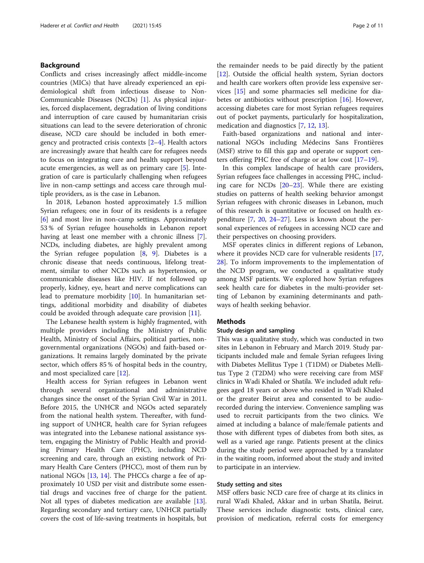# Background

Conflicts and crises increasingly affect middle-income countries (MICs) that have already experienced an epidemiological shift from infectious disease to Non-Communicable Diseases (NCDs) [[1\]](#page-9-0). As physical injuries, forced displacement, degradation of living conditions and interruption of care caused by humanitarian crisis situations can lead to the severe deterioration of chronic disease, NCD care should be included in both emergency and protracted crisis contexts [\[2](#page-9-0)–[4](#page-10-0)]. Health actors are increasingly aware that health care for refugees needs to focus on integrating care and health support beyond acute emergencies, as well as on primary care [[5\]](#page-10-0). Integration of care is particularly challenging when refugees live in non-camp settings and access care through multiple providers, as is the case in Lebanon.

In 2018, Lebanon hosted approximately 1.5 million Syrian refugees; one in four of its residents is a refugee [[6\]](#page-10-0) and most live in non-camp settings. Approximately 53 % of Syrian refugee households in Lebanon report having at least one member with a chronic illness [\[7](#page-10-0)]. NCDs, including diabetes, are highly prevalent among the Syrian refugee population  $[8, 9]$  $[8, 9]$  $[8, 9]$  $[8, 9]$ . Diabetes is a chronic disease that needs continuous, lifelong treatment, similar to other NCDs such as hypertension, or communicable diseases like HIV. If not followed up properly, kidney, eye, heart and nerve complications can lead to premature morbidity [\[10](#page-10-0)]. In humanitarian settings, additional morbidity and disability of diabetes could be avoided through adequate care provision [[11\]](#page-10-0).

The Lebanese health system is highly fragmented, with multiple providers including the Ministry of Public Health, Ministry of Social Affairs, political parties, nongovernmental organizations (NGOs) and faith-based organizations. It remains largely dominated by the private sector, which offers 85 % of hospital beds in the country, and most specialized care [[12](#page-10-0)].

Health access for Syrian refugees in Lebanon went through several organizational and administrative changes since the onset of the Syrian Civil War in 2011. Before 2015, the UNHCR and NGOs acted separately from the national health system. Thereafter, with funding support of UNHCR, health care for Syrian refugees was integrated into the Lebanese national assistance system, engaging the Ministry of Public Health and providing Primary Health Care (PHC), including NCD screening and care, through an existing network of Primary Health Care Centers (PHCC), most of them run by national NGOs [[13,](#page-10-0) [14](#page-10-0)]. The PHCCs charge a fee of approximately 10 USD per visit and distribute some essential drugs and vaccines free of charge for the patient. Not all types of diabetes medication are available [\[13](#page-10-0)]. Regarding secondary and tertiary care, UNHCR partially covers the cost of life-saving treatments in hospitals, but

the remainder needs to be paid directly by the patient [[12\]](#page-10-0). Outside the official health system, Syrian doctors and health care workers often provide less expensive services [\[15](#page-10-0)] and some pharmacies sell medicine for diabetes or antibiotics without prescription [[16\]](#page-10-0). However, accessing diabetes care for most Syrian refugees requires out of pocket payments, particularly for hospitalization, medication and diagnostics [\[7](#page-10-0), [12](#page-10-0), [13\]](#page-10-0).

Faith-based organizations and national and international NGOs including Médecins Sans Frontières (MSF) strive to fill this gap and operate or support centers offering PHC free of charge or at low cost [\[17](#page-10-0)–[19\]](#page-10-0).

In this complex landscape of health care providers, Syrian refugees face challenges in accessing PHC, including care for NCDs [\[20](#page-10-0)–[23\]](#page-10-0). While there are existing studies on patterns of health seeking behavior amongst Syrian refugees with chronic diseases in Lebanon, much of this research is quantitative or focused on health expenditure [\[7](#page-10-0), [20](#page-10-0), [24](#page-10-0)–[27](#page-10-0)]. Less is known about the personal experiences of refugees in accessing NCD care and their perspectives on choosing providers.

MSF operates clinics in different regions of Lebanon, where it provides NCD care for vulnerable residents [[17](#page-10-0), [28\]](#page-10-0). To inform improvements to the implementation of the NCD program, we conducted a qualitative study among MSF patients. We explored how Syrian refugees seek health care for diabetes in the multi-provider setting of Lebanon by examining determinants and pathways of health seeking behavior.

# **Methods**

# Study design and sampling

This was a qualitative study, which was conducted in two sites in Lebanon in February and March 2019. Study participants included male and female Syrian refugees living with Diabetes Mellitus Type 1 (T1DM) or Diabetes Mellitus Type 2 (T2DM) who were receiving care from MSF clinics in Wadi Khaled or Shatila. We included adult refugees aged 18 years or above who resided in Wadi Khaled or the greater Beirut area and consented to be audiorecorded during the interview. Convenience sampling was used to recruit participants from the two clinics. We aimed at including a balance of male/female patients and those with different types of diabetes from both sites, as well as a varied age range. Patients present at the clinics during the study period were approached by a translator in the waiting room, informed about the study and invited to participate in an interview.

# Study setting and sites

MSF offers basic NCD care free of charge at its clinics in rural Wadi Khaled, Akkar and in urban Shatila, Beirut. These services include diagnostic tests, clinical care, provision of medication, referral costs for emergency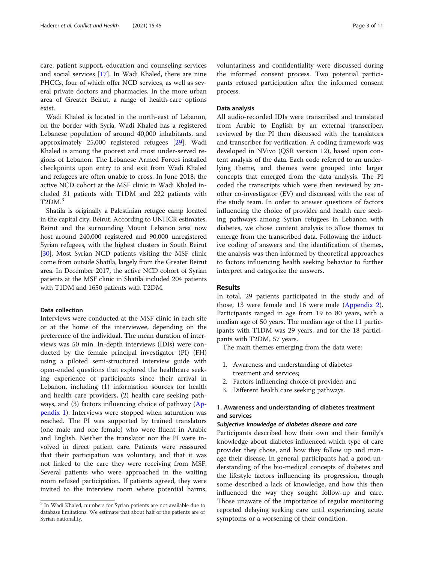care, patient support, education and counseling services and social services [\[17](#page-10-0)]. In Wadi Khaled, there are nine PHCCs, four of which offer NCD services, as well as several private doctors and pharmacies. In the more urban area of Greater Beirut, a range of health-care options exist.

Wadi Khaled is located in the north-east of Lebanon, on the border with Syria. Wadi Khaled has a registered Lebanese population of around 40,000 inhabitants, and approximately 25,000 registered refugees [\[29](#page-10-0)]. Wadi Khaled is among the poorest and most under-served regions of Lebanon. The Lebanese Armed Forces installed checkpoints upon entry to and exit from Wadi Khaled and refugees are often unable to cross. In June 2018, the active NCD cohort at the MSF clinic in Wadi Khaled included 31 patients with T1DM and 222 patients with T2DM.<sup>3</sup>

Shatila is originally a Palestinian refugee camp located in the capital city, Beirut. According to UNHCR estimates, Beirut and the surrounding Mount Lebanon area now host around 240,000 registered and 90,000 unregistered Syrian refugees, with the highest clusters in South Beirut [[30](#page-10-0)]. Most Syrian NCD patients visiting the MSF clinic come from outside Shatila, largely from the Greater Beirut area. In December 2017, the active NCD cohort of Syrian patients at the MSF clinic in Shatila included 204 patients with T1DM and 1650 patients with T2DM.

# Data collection

Interviews were conducted at the MSF clinic in each site or at the home of the interviewee, depending on the preference of the individual. The mean duration of interviews was 50 min. In-depth interviews (IDIs) were conducted by the female principal investigator (PI) (FH) using a piloted semi-structured interview guide with open-ended questions that explored the healthcare seeking experience of participants since their arrival in Lebanon, including (1) information sources for health and health care providers, (2) health care seeking pathways, and (3) factors influencing choice of pathway ([Ap](#page-8-0)[pendix 1\)](#page-8-0). Interviews were stopped when saturation was reached. The PI was supported by trained translators (one male and one female) who were fluent in Arabic and English. Neither the translator nor the PI were involved in direct patient care. Patients were reassured that their participation was voluntary, and that it was not linked to the care they were receiving from MSF. Several patients who were approached in the waiting room refused participation. If patients agreed, they were invited to the interview room where potential harms, voluntariness and confidentiality were discussed during the informed consent process. Two potential participants refused participation after the informed consent process.

# Data analysis

All audio-recorded IDIs were transcribed and translated from Arabic to English by an external transcriber, reviewed by the PI then discussed with the translators and transcriber for verification. A coding framework was developed in NVivo (QSR version 12), based upon content analysis of the data. Each code referred to an underlying theme, and themes were grouped into larger concepts that emerged from the data analysis. The PI coded the transcripts which were then reviewed by another co-investigator (EV) and discussed with the rest of the study team. In order to answer questions of factors influencing the choice of provider and health care seeking pathways among Syrian refugees in Lebanon with diabetes, we chose content analysis to allow themes to emerge from the transcribed data. Following the inductive coding of answers and the identification of themes, the analysis was then informed by theoretical approaches to factors influencing health seeking behavior to further interpret and categorize the answers.

# Results

In total, 29 patients participated in the study and of those, 13 were female and 16 were male [\(Appendix 2](#page-9-0)). Participants ranged in age from 19 to 80 years, with a median age of 50 years. The median age of the 11 participants with T1DM was 29 years, and for the 18 participants with T2DM, 57 years.

The main themes emerging from the data were:

- 1. Awareness and understanding of diabetes treatment and services;
- 2. Factors influencing choice of provider; and
- 3. Different health care seeking pathways.

# 1. Awareness and understanding of diabetes treatment and services

# Subjective knowledge of diabetes disease and care

Participants described how their own and their family's knowledge about diabetes influenced which type of care provider they chose, and how they follow up and manage their disease. In general, participants had a good understanding of the bio-medical concepts of diabetes and the lifestyle factors influencing its progression, though some described a lack of knowledge, and how this then influenced the way they sought follow-up and care. Those unaware of the importance of regular monitoring reported delaying seeking care until experiencing acute symptoms or a worsening of their condition.

<sup>&</sup>lt;sup>3</sup> In Wadi Khaled, numbers for Syrian patients are not available due to database limitations. We estimate that about half of the patients are of Syrian nationality.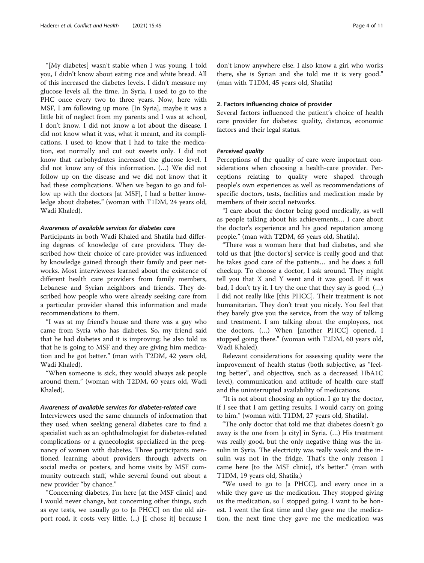"[My diabetes] wasn't stable when I was young. I told you, I didn't know about eating rice and white bread. All of this increased the diabetes levels. I didn't measure my glucose levels all the time. In Syria, I used to go to the PHC once every two to three years. Now, here with MSF, I am following up more. [In Syria], maybe it was a little bit of neglect from my parents and I was at school, I don't know. I did not know a lot about the disease. I did not know what it was, what it meant, and its complications. I used to know that I had to take the medication, eat normally and cut out sweets only. I did not know that carbohydrates increased the glucose level. I did not know any of this information. (…) We did not follow up on the disease and we did not know that it had these complications. When we began to go and follow up with the doctors [at MSF], I had a better knowledge about diabetes." (woman with T1DM, 24 years old, Wadi Khaled).

# Awareness of available services for diabetes care

Participants in both Wadi Khaled and Shatila had differing degrees of knowledge of care providers. They described how their choice of care-provider was influenced by knowledge gained through their family and peer networks. Most interviewees learned about the existence of different health care providers from family members, Lebanese and Syrian neighbors and friends. They described how people who were already seeking care from a particular provider shared this information and made recommendations to them.

"I was at my friend's house and there was a guy who came from Syria who has diabetes. So, my friend said that he had diabetes and it is improving; he also told us that he is going to MSF and they are giving him medication and he got better." (man with T2DM, 42 years old, Wadi Khaled).

"When someone is sick, they would always ask people around them." (woman with T2DM, 60 years old, Wadi Khaled).

# Awareness of available services for diabetes-related care

Interviewees used the same channels of information that they used when seeking general diabetes care to find a specialist such as an ophthalmologist for diabetes-related complications or a gynecologist specialized in the pregnancy of women with diabetes. Three participants mentioned learning about providers through adverts on social media or posters, and home visits by MSF community outreach staff, while several found out about a new provider "by chance."

"Concerning diabetes, I'm here [at the MSF clinic] and I would never change, but concerning other things, such as eye tests, we usually go to [a PHCC] on the old airport road, it costs very little. (...) [I chose it] because I don't know anywhere else. I also know a girl who works there, she is Syrian and she told me it is very good." (man with T1DM, 45 years old, Shatila)

# 2. Factors influencing choice of provider

Several factors influenced the patient's choice of health care provider for diabetes: quality, distance, economic factors and their legal status.

# Perceived quality

Perceptions of the quality of care were important considerations when choosing a health-care provider. Perceptions relating to quality were shaped through people's own experiences as well as recommendations of specific doctors, tests, facilities and medication made by members of their social networks.

"I care about the doctor being good medically, as well as people talking about his achievements… I care about the doctor's experience and his good reputation among people." (man with T2DM, 65 years old, Shatila).

"There was a woman here that had diabetes, and she told us that [the doctor's] service is really good and that he takes good care of the patients… and he does a full checkup. To choose a doctor, I ask around. They might tell you that X and Y went and it was good. If it was bad, I don't try it. I try the one that they say is good. (…) I did not really like [this PHCC]. Their treatment is not humanitarian. They don't treat you nicely. You feel that they barely give you the service, from the way of talking and treatment. I am talking about the employees, not the doctors. (…) When [another PHCC] opened, I stopped going there." (woman with T2DM, 60 years old, Wadi Khaled).

Relevant considerations for assessing quality were the improvement of health status (both subjective, as "feeling better", and objective, such as a decreased HbA1C level), communication and attitude of health care staff and the uninterrupted availability of medications.

"It is not about choosing an option. I go try the doctor, if I see that I am getting results, I would carry on going to him." (woman with T1DM, 27 years old, Shatila).

"The only doctor that told me that diabetes doesn't go away is the one from [a city] in Syria. (…) His treatment was really good, but the only negative thing was the insulin in Syria. The electricity was really weak and the insulin was not in the fridge. That's the only reason I came here [to the MSF clinic], it's better." (man with T1DM, 19 years old, Shatila,)

"We used to go to [a PHCC], and every once in a while they gave us the medication. They stopped giving us the medication, so I stopped going. I want to be honest. I went the first time and they gave me the medication, the next time they gave me the medication was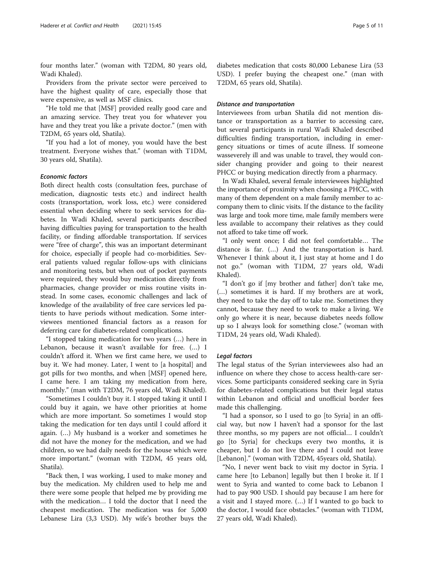four months later." (woman with T2DM, 80 years old, Wadi Khaled).

Providers from the private sector were perceived to have the highest quality of care, especially those that were expensive, as well as MSF clinics.

"He told me that [MSF] provided really good care and an amazing service. They treat you for whatever you have and they treat you like a private doctor." (men with T2DM, 65 years old, Shatila).

"If you had a lot of money, you would have the best treatment. Everyone wishes that." (woman with T1DM, 30 years old, Shatila).

# Economic factors

Both direct health costs (consultation fees, purchase of medication, diagnostic tests etc.) and indirect health costs (transportation, work loss, etc.) were considered essential when deciding where to seek services for diabetes. In Wadi Khaled, several participants described having difficulties paying for transportation to the health facility, or finding affordable transportation. If services were "free of charge", this was an important determinant for choice, especially if people had co-morbidities. Several patients valued regular follow-ups with clinicians and monitoring tests, but when out of pocket payments were required, they would buy medication directly from pharmacies, change provider or miss routine visits instead. In some cases, economic challenges and lack of knowledge of the availability of free care services led patients to have periods without medication. Some interviewees mentioned financial factors as a reason for deferring care for diabetes-related complications.

"I stopped taking medication for two years (…) here in Lebanon, because it wasn't available for free. (…) I couldn't afford it. When we first came here, we used to buy it. We had money. Later, I went to [a hospital] and got pills for two months, and when [MSF] opened here, I came here. I am taking my medication from here, monthly." (man with T2DM, 76 years old, Wadi Khaled).

"Sometimes I couldn't buy it. I stopped taking it until I could buy it again, we have other priorities at home which are more important. So sometimes I would stop taking the medication for ten days until I could afford it again. (…) My husband is a worker and sometimes he did not have the money for the medication, and we had children, so we had daily needs for the house which were more important." (woman with T2DM, 45 years old, Shatila).

"Back then, I was working, I used to make money and buy the medication. My children used to help me and there were some people that helped me by providing me with the medication… I told the doctor that I need the cheapest medication. The medication was for 5,000 Lebanese Lira (3,3 USD). My wife's brother buys the

diabetes medication that costs 80,000 Lebanese Lira (53 USD). I prefer buying the cheapest one." (man with T2DM, 65 years old, Shatila).

# Distance and transportation

Interviewees from urban Shatila did not mention distance or transportation as a barrier to accessing care, but several participants in rural Wadi Khaled described difficulties finding transportation, including in emergency situations or times of acute illness. If someone wasseverely ill and was unable to travel, they would consider changing provider and going to their nearest PHCC or buying medication directly from a pharmacy.

In Wadi Khaled, several female interviewees highlighted the importance of proximity when choosing a PHCC, with many of them dependent on a male family member to accompany them to clinic visits. If the distance to the facility was large and took more time, male family members were less available to accompany their relatives as they could not afford to take time off work.

"I only went once; I did not feel comfortable… The distance is far. (…) And the transportation is hard. Whenever I think about it, I just stay at home and I do not go." (woman with T1DM, 27 years old, Wadi Khaled).

"I don't go if [my brother and father] don't take me, (…) sometimes it is hard. If my brothers are at work, they need to take the day off to take me. Sometimes they cannot, because they need to work to make a living. We only go where it is near, because diabetes needs follow up so I always look for something close." (woman with T1DM, 24 years old, Wadi Khaled).

# Legal factors

The legal status of the Syrian interviewees also had an influence on where they chose to access health-care services. Some participants considered seeking care in Syria for diabetes-related complications but their legal status within Lebanon and official and unofficial border fees made this challenging.

"I had a sponsor, so I used to go [to Syria] in an official way, but now I haven't had a sponsor for the last three months, so my papers are not official… I couldn't go [to Syria] for checkups every two months, it is cheaper, but I do not live there and I could not leave [Lebanon]." (woman with T2DM, 45years old, Shatila).

"No, I never went back to visit my doctor in Syria. I came here [to Lebanon] legally but then I broke it. If I went to Syria and wanted to come back to Lebanon I had to pay 900 USD. I should pay because I am here for a visit and I stayed more. (…) If I wanted to go back to the doctor, I would face obstacles." (woman with T1DM, 27 years old, Wadi Khaled).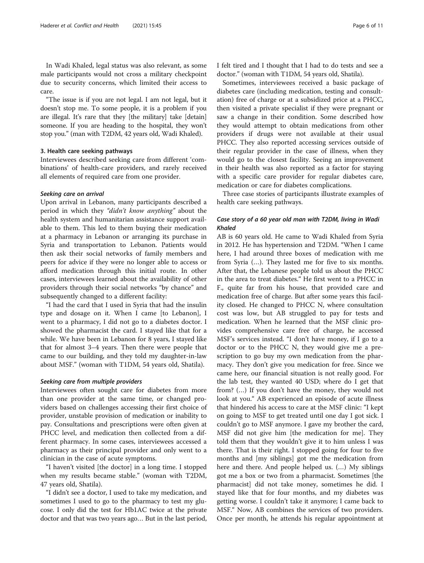In Wadi Khaled, legal status was also relevant, as some male participants would not cross a military checkpoint due to security concerns, which limited their access to care.

"The issue is if you are not legal. I am not legal, but it doesn't stop me. To some people, it is a problem if you are illegal. It's rare that they [the military] take [detain] someone. If you are heading to the hospital, they won't stop you." (man with T2DM, 42 years old, Wadi Khaled).

# 3. Health care seeking pathways

Interviewees described seeking care from different 'combinations' of health-care providers, and rarely received all elements of required care from one provider.

# Seeking care on arrival

Upon arrival in Lebanon, many participants described a period in which they "didn't know anything" about the health system and humanitarian assistance support available to them. This led to them buying their medication at a pharmacy in Lebanon or arranging its purchase in Syria and transportation to Lebanon. Patients would then ask their social networks of family members and peers for advice if they were no longer able to access or afford medication through this initial route. In other cases, interviewees learned about the availability of other providers through their social networks "by chance" and subsequently changed to a different facility:

"I had the card that I used in Syria that had the insulin type and dosage on it. When I came [to Lebanon], I went to a pharmacy, I did not go to a diabetes doctor. I showed the pharmacist the card. I stayed like that for a while. We have been in Lebanon for 8 years, I stayed like that for almost 3–4 years. Then there were people that came to our building, and they told my daughter-in-law about MSF." (woman with T1DM, 54 years old, Shatila).

# Seeking care from multiple providers

Interviewees often sought care for diabetes from more than one provider at the same time, or changed providers based on challenges accessing their first choice of provider, unstable provision of medication or inability to pay. Consultations and prescriptions were often given at PHCC level, and medication then collected from a different pharmacy. In some cases, interviewees accessed a pharmacy as their principal provider and only went to a clinician in the case of acute symptoms.

"I haven't visited [the doctor] in a long time. I stopped when my results became stable." (woman with T2DM, 47 years old, Shatila).

"I didn't see a doctor, I used to take my medication, and sometimes I used to go to the pharmacy to test my glucose. I only did the test for Hb1AC twice at the private doctor and that was two years ago… But in the last period, I felt tired and I thought that I had to do tests and see a doctor." (woman with T1DM, 54 years old, Shatila).

Sometimes, interviewees received a basic package of diabetes care (including medication, testing and consultation) free of charge or at a subsidized price at a PHCC, then visited a private specialist if they were pregnant or saw a change in their condition. Some described how they would attempt to obtain medications from other providers if drugs were not available at their usual PHCC. They also reported accessing services outside of their regular provider in the case of illness, when they would go to the closest facility. Seeing an improvement in their health was also reported as a factor for staying with a specific care provider for regular diabetes care, medication or care for diabetes complications.

Three case stories of participants illustrate examples of health care seeking pathways.

# Case story of a 60 year old man with T2DM, living in Wadi Khaled

AB is 60 years old. He came to Wadi Khaled from Syria in 2012. He has hypertension and T2DM. "When I came here, I had around three boxes of medication with me from Syria (…). They lasted me for five to six months. After that, the Lebanese people told us about the PHCC in the area to treat diabetes." He first went to a PHCC in F., quite far from his house, that provided care and medication free of charge. But after some years this facility closed. He changed to PHCC N, where consultation cost was low, but AB struggled to pay for tests and medication. When he learned that the MSF clinic provides comprehensive care free of charge, he accessed MSF's services instead. "I don't have money, if I go to a doctor or to the PHCC N, they would give me a prescription to go buy my own medication from the pharmacy. They don't give you medication for free. Since we came here, our financial situation is not really good. For the lab test, they wanted 40 USD; where do I get that from? (…) If you don't have the money, they would not look at you." AB experienced an episode of acute illness that hindered his access to care at the MSF clinic: "I kept on going to MSF to get treated until one day I got sick. I couldn't go to MSF anymore. I gave my brother the card, MSF did not give him [the medication for me]. They told them that they wouldn't give it to him unless I was there. That is their right. I stopped going for four to five months and [my siblings] got me the medication from here and there. And people helped us. (…) My siblings got me a box or two from a pharmacist. Sometimes [the pharmacist] did not take money, sometimes he did. I stayed like that for four months, and my diabetes was getting worse. I couldn't take it anymore; I came back to MSF." Now, AB combines the services of two providers. Once per month, he attends his regular appointment at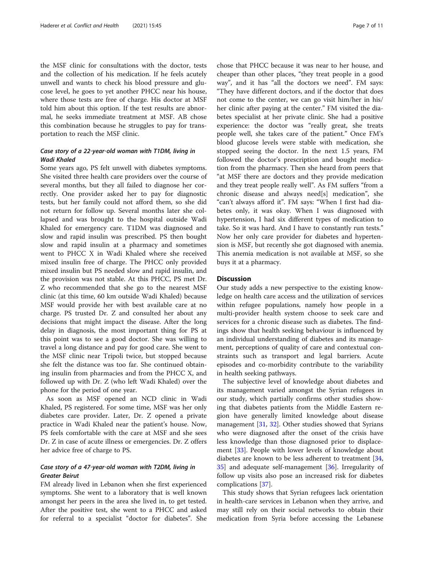the MSF clinic for consultations with the doctor, tests and the collection of his medication. If he feels acutely unwell and wants to check his blood pressure and glucose level, he goes to yet another PHCC near his house, where those tests are free of charge. His doctor at MSF told him about this option. If the test results are abnormal, he seeks immediate treatment at MSF. AB chose this combination because he struggles to pay for transportation to reach the MSF clinic.

# Case story of a 22‐year‐old woman with T1DM, living in Wadi Khaled

Some years ago, PS felt unwell with diabetes symptoms. She visited three health care providers over the course of several months, but they all failed to diagnose her correctly. One provider asked her to pay for diagnostic tests, but her family could not afford them, so she did not return for follow up. Several months later she collapsed and was brought to the hospital outside Wadi Khaled for emergency care. T1DM was diagnosed and slow and rapid insulin was prescribed. PS then bought slow and rapid insulin at a pharmacy and sometimes went to PHCC X in Wadi Khaled where she received mixed insulin free of charge. The PHCC only provided mixed insulin but PS needed slow and rapid insulin, and the provision was not stable. At this PHCC, PS met Dr. Z who recommended that she go to the nearest MSF clinic (at this time, 60 km outside Wadi Khaled) because MSF would provide her with best available care at no charge. PS trusted Dr. Z and consulted her about any decisions that might impact the disease. After the long delay in diagnosis, the most important thing for PS at this point was to see a good doctor. She was willing to travel a long distance and pay for good care. She went to the MSF clinic near Tripoli twice, but stopped because she felt the distance was too far. She continued obtaining insulin from pharmacies and from the PHCC X, and followed up with Dr. Z (who left Wadi Khaled) over the phone for the period of one year.

As soon as MSF opened an NCD clinic in Wadi Khaled, PS registered. For some time, MSF was her only diabetes care provider. Later, Dr. Z opened a private practice in Wadi Khaled near the patient's house. Now, PS feels comfortable with the care at MSF and she sees Dr. Z in case of acute illness or emergencies. Dr. Z offers her advice free of charge to PS.

# Case story of a 47‐year‐old woman with T2DM, living in Greater Beirut

FM already lived in Lebanon when she first experienced symptoms. She went to a laboratory that is well known amongst her peers in the area she lived in, to get tested. After the positive test, she went to a PHCC and asked for referral to a specialist "doctor for diabetes". She

chose that PHCC because it was near to her house, and cheaper than other places, "they treat people in a good way", and it has "all the doctors we need". FM says: "They have different doctors, and if the doctor that does not come to the center, we can go visit him/her in his/ her clinic after paying at the center." FM visited the diabetes specialist at her private clinic. She had a positive experience: the doctor was "really great, she treats people well, she takes care of the patient." Once FM's blood glucose levels were stable with medication, she stopped seeing the doctor. In the next 1.5 years, FM followed the doctor's prescription and bought medication from the pharmacy. Then she heard from peers that "at MSF there are doctors and they provide medication and they treat people really well". As FM suffers "from a chronic disease and always need[s] medication", she "can't always afford it". FM says: "When I first had diabetes only, it was okay. When I was diagnosed with hypertension, I had six different types of medication to take. So it was hard. And I have to constantly run tests." Now her only care provider for diabetes and hypertension is MSF, but recently she got diagnosed with anemia. This anemia medication is not available at MSF, so she buys it at a pharmacy.

# **Discussion**

Our study adds a new perspective to the existing knowledge on health care access and the utilization of services within refugee populations, namely how people in a multi-provider health system choose to seek care and services for a chronic disease such as diabetes. The findings show that health seeking behaviour is influenced by an individual understanding of diabetes and its management, perceptions of quality of care and contextual constraints such as transport and legal barriers. Acute episodes and co-morbidity contribute to the variability in health seeking pathways.

The subjective level of knowledge about diabetes and its management varied amongst the Syrian refugees in our study, which partially confirms other studies showing that diabetes patients from the Middle Eastern region have generally limited knowledge about disease management [[31,](#page-10-0) [32\]](#page-10-0). Other studies showed that Syrians who were diagnosed after the onset of the crisis have less knowledge than those diagnosed prior to displacement [[33\]](#page-10-0). People with lower levels of knowledge about diabetes are known to be less adherent to treatment  $[34, 1]$  $[34, 1]$  $[34, 1]$ [35\]](#page-10-0) and adequate self-management [[36](#page-10-0)]. Irregularity of follow up visits also pose an increased risk for diabetes complications [[37\]](#page-10-0).

This study shows that Syrian refugees lack orientation in health-care services in Lebanon when they arrive, and may still rely on their social networks to obtain their medication from Syria before accessing the Lebanese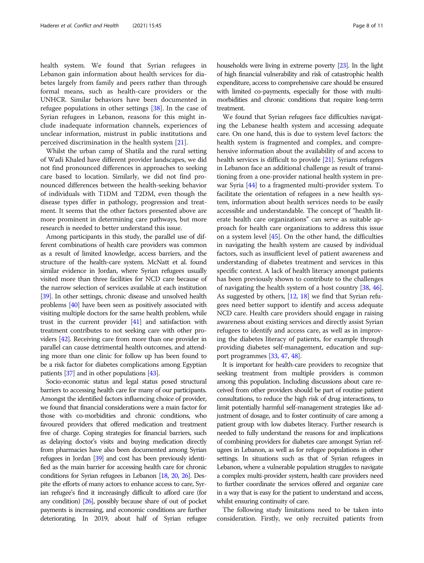health system. We found that Syrian refugees in Lebanon gain information about health services for diabetes largely from family and peers rather than through formal means, such as health-care providers or the UNHCR. Similar behaviors have been documented in refugee populations in other settings [\[38](#page-10-0)]. In the case of Syrian refugees in Lebanon, reasons for this might include inadequate information channels, experiences of unclear information, mistrust in public institutions and perceived discrimination in the health system [[21\]](#page-10-0).

Whilst the urban camp of Shatila and the rural setting of Wadi Khaled have different provider landscapes, we did not find pronounced differences in approaches to seeking care based to location. Similarly, we did not find pronounced differences between the health-seeking behavior of individuals with T1DM and T2DM, even though the disease types differ in pathology, progression and treatment. It seems that the other factors presented above are more prominent in determining care pathways, but more research is needed to better understand this issue.

Among participants in this study, the parallel use of different combinations of health care providers was common as a result of limited knowledge, access barriers, and the structure of the health-care system. McNatt et al. found similar evidence in Jordan, where Syrian refugees usually visited more than three facilities for NCD care because of the narrow selection of services available at each institution [[39](#page-10-0)]. In other settings, chronic disease and unsolved health problems [[40](#page-10-0)] have been seen as positively associated with visiting multiple doctors for the same health problem, while trust in the current provider [[41](#page-10-0)] and satisfaction with treatment contributes to not seeking care with other providers [[42](#page-10-0)]. Receiving care from more than one provider in parallel can cause detrimental health outcomes, and attending more than one clinic for follow up has been found to be a risk factor for diabetes complications among Egyptian patients [\[37](#page-10-0)] and in other populations [\[43\]](#page-10-0).

Socio-economic status and legal status posed structural barriers to accessing health care for many of our participants. Amongst the identified factors influencing choice of provider, we found that financial considerations were a main factor for those with co-morbidities and chronic conditions, who favoured providers that offered medication and treatment free of charge. Coping strategies for financial barriers, such as delaying doctor's visits and buying medication directly from pharmacies have also been documented among Syrian refugees in Jordan [[39\]](#page-10-0) and cost has been previously identified as the main barrier for accessing health care for chronic conditions for Syrian refugees in Lebanon [\[18](#page-10-0), [20,](#page-10-0) [26](#page-10-0)]. Despite the efforts of many actors to enhance access to care, Syrian refugee's find it increasingly difficult to afford care (for any condition) [\[26](#page-10-0)], possibly because share of out of pocket payments is increasing, and economic conditions are further deteriorating. In 2019, about half of Syrian refugee households were living in extreme poverty [\[23](#page-10-0)]. In the light of high financial vulnerability and risk of catastrophic health expenditure, access to comprehensive care should be ensured with limited co-payments, especially for those with multimorbidities and chronic conditions that require long-term treatment.

We found that Syrian refugees face difficulties navigating the Lebanese health system and accessing adequate care. On one hand, this is due to system level factors: the health system is fragmented and complex, and comprehensive information about the availability of and access to health services is difficult to provide [\[21\]](#page-10-0). Syrians refugees in Lebanon face an additional challenge as result of transitioning from a one-provider national health system in prewar Syria [[44](#page-10-0)] to a fragmented multi-provider system. To facilitate the orientation of refugees in a new health system, information about health services needs to be easily accessible and understandable. The concept of "health literate health care organizations" can serve as suitable approach for health care organizations to address this issue on a system level [\[45\]](#page-10-0). On the other hand, the difficulties in navigating the health system are caused by individual factors, such as insufficient level of patient awareness and understanding of diabetes treatment and services in this specific context. A lack of health literacy amongst patients has been previously shown to contribute to the challenges of navigating the health system of a host country [[38,](#page-10-0) [46](#page-10-0)]. As suggested by others, [[12,](#page-10-0) [18\]](#page-10-0) we find that Syrian refugees need better support to identify and access adequate NCD care. Health care providers should engage in raising awareness about existing services and directly assist Syrian refugees to identify and access care, as well as in improving the diabetes literacy of patients, for example through providing diabetes self-management, education and support programmes [\[33,](#page-10-0) [47](#page-10-0), [48\]](#page-10-0).

It is important for health-care providers to recognize that seeking treatment from multiple providers is common among this population. Including discussions about care received from other providers should be part of routine patient consultations, to reduce the high risk of drug interactions, to limit potentially harmful self-management strategies like adjustment of dosage, and to foster continuity of care among a patient group with low diabetes literacy. Further research is needed to fully understand the reasons for and implications of combining providers for diabetes care amongst Syrian refugees in Lebanon, as well as for refugee populations in other settings. In situations such as that of Syrian refugees in Lebanon, where a vulnerable population struggles to navigate a complex multi-provider system, health care providers need to further coordinate the services offered and organize care in a way that is easy for the patient to understand and access, whilst ensuring continuity of care.

The following study limitations need to be taken into consideration. Firstly, we only recruited patients from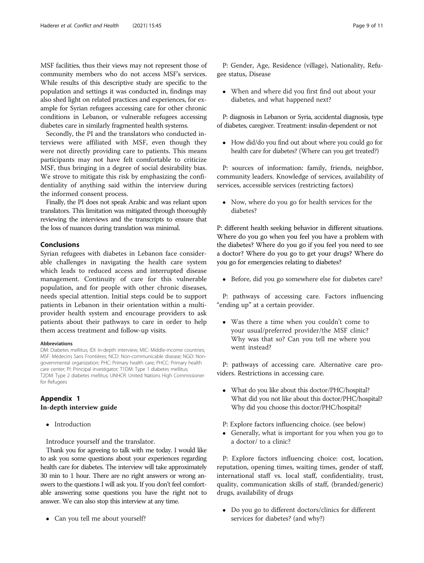<span id="page-8-0"></span>MSF facilities, thus their views may not represent those of community members who do not access MSF's services. While results of this descriptive study are specific to the population and settings it was conducted in, findings may also shed light on related practices and experiences, for example for Syrian refugees accessing care for other chronic conditions in Lebanon, or vulnerable refugees accessing diabetes care in similarly fragmented health systems.

Secondly, the PI and the translators who conducted interviews were affiliated with MSF, even though they were not directly providing care to patients. This means participants may not have felt comfortable to criticize MSF, thus bringing in a degree of social desirability bias. We strove to mitigate this risk by emphasizing the confidentiality of anything said within the interview during the informed consent process.

Finally, the PI does not speak Arabic and was reliant upon translators. This limitation was mitigated through thoroughly reviewing the interviews and the transcripts to ensure that the loss of nuances during translation was minimal.

# Conclusions

Syrian refugees with diabetes in Lebanon face considerable challenges in navigating the health care system which leads to reduced access and interrupted disease management. Continuity of care for this vulnerable population, and for people with other chronic diseases, needs special attention. Initial steps could be to support patients in Lebanon in their orientation within a multiprovider health system and encourage providers to ask patients about their pathways to care in order to help them access treatment and follow-up visits.

## Abbreviations

DM: Diabetes mellitus; IDI: In-depth interview; MIC: Middle-income countries; MSF: Médecins Sans Frontières; NCD: Non-communicable disease; NGO: Nongovernmental organization; PHC: Primary health care; PHCC: Primary health care center; PI: Principal investigator; T1DM: Type 1 diabetes mellitus; T2DM: Type 2 diabetes mellitus; UNHCR: United Nations High Commissioner for Refugees

# Appendix 1 In-depth interview guide

• Introduction

Introduce yourself and the translator.

Thank you for agreeing to talk with me today. I would like to ask you some questions about your experiences regarding health care for diabetes. The interview will take approximately 30 min to 1 hour. There are no right answers or wrong answers to the questions I will ask you. If you don't feel comfortable answering some questions you have the right not to answer. We can also stop this interview at any time.

• Can you tell me about yourself?

P: Gender, Age, Residence (village), Nationality, Refugee status, Disease

 When and where did you first find out about your diabetes, and what happened next?

P: diagnosis in Lebanon or Syria, accidental diagnosis, type of diabetes, caregiver. Treatment: insulin-dependent or not

 How did/do you find out about where you could go for health care for diabetes? (Where can you get treated?)

P: sources of information: family, friends, neighbor, community leaders. Knowledge of services, availability of services, accessible services (restricting factors)

• Now, where do you go for health services for the diabetes?

P: different health seeking behavior in different situations. Where do you go when you feel you have a problem with the diabetes? Where do you go if you feel you need to see a doctor? Where do you go to get your drugs? Where do you go for emergencies relating to diabetes?

Before, did you go somewhere else for diabetes care?

P: pathways of accessing care. Factors influencing "ending up" at a certain provider.

 Was there a time when you couldn't come to your usual/preferred provider/the MSF clinic? Why was that so? Can you tell me where you went instead?

P: pathways of accessing care. Alternative care providers. Restrictions in accessing care.

- What do you like about this doctor/PHC/hospital? What did you not like about this doctor/PHC/hospital? Why did you choose this doctor/PHC/hospital?
- P: Explore factors influencing choice. (see below)
- Generally, what is important for you when you go to a doctor/ to a clinic?

P: Explore factors influencing choice: cost, location, reputation, opening times, waiting times, gender of staff, international staff vs. local staff, confidentiality, trust, quality, communication skills of staff, (branded/generic) drugs, availability of drugs

• Do you go to different doctors/clinics for different services for diabetes? (and why?)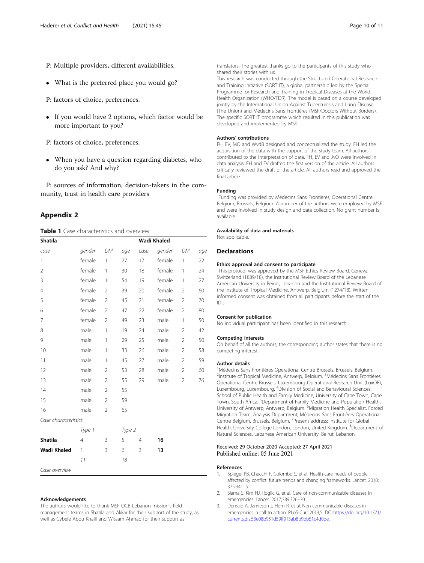- <span id="page-9-0"></span>What is the preferred place you would go?
- P: factors of choice, preferences.
- If you would have 2 options, which factor would be more important to you?
- P: factors of choice, preferences.
- When you have a question regarding diabetes, who do you ask? And why?

P: sources of information, decision-takers in the community, trust in health care providers

# Appendix 2

Table 1 Case characteristics and overview

| <b>Shatila</b>       |                |                | Wadi Khaled |                |        |                |     |
|----------------------|----------------|----------------|-------------|----------------|--------|----------------|-----|
| case                 | gender         | DM             | age         | case           | gender | DM             | age |
| 1                    | female         | 1              | 27          | 17             | female | 1              | 22  |
| $\overline{2}$       | female         | 1              | 30          | 18             | female | 1              | 24  |
| 3                    | female         | 1              | 54          | 19             | female | 1              | 27  |
| $\overline{4}$       | female         | $\overline{2}$ | 39          | 20             | female | $\overline{2}$ | 60  |
| 5                    | female         | $\overline{2}$ | 45          | 21             | female | $\overline{2}$ | 70  |
| 6                    | female         | $\overline{2}$ | 47          | 22             | female | $\overline{2}$ | 80  |
| 7                    | female         | $\overline{2}$ | 49          | 23             | male   | 1              | 50  |
| 8                    | male           | $\mathbf{1}$   | 19          | 24             | male   | $\overline{2}$ | 42  |
| 9                    | male           | 1              | 29          | 25             | male   | $\overline{2}$ | 50  |
| 10                   | male           | 1              | 33          | 26             | male   | $\overline{2}$ | 58  |
| 11                   | male           | 1              | 45          | 27             | male   | $\overline{2}$ | 59  |
| 12                   | male           | $\overline{2}$ | 53          | 28             | male   | $\overline{2}$ | 60  |
| 13                   | male           | $\overline{2}$ | 55          | 29             | male   | $\overline{2}$ | 76  |
| 14                   | male           | $\overline{2}$ | 55          |                |        |                |     |
| 15                   | male           | $\overline{2}$ | 59          |                |        |                |     |
| 16                   | male           | $\overline{2}$ | 65          |                |        |                |     |
| Case characteristics |                |                |             |                |        |                |     |
|                      | Type 1         |                | Type 2      |                |        |                |     |
| <b>Shatila</b>       | $\overline{4}$ | 3              | 5           | $\overline{4}$ | 16     |                |     |
| Wadi Khaled          | $\mathbf{1}$   | 3              | 6           | 3              | 13     |                |     |
|                      | 11             |                | 18          |                |        |                |     |
| Case overview        |                |                |             |                |        |                |     |

## Acknowledgements

The authors would like to thank MSF OCB Lebanon mission's field management teams in Shatila and Akkar for their support of the study, as well as Cybele Abou Khalil and Wissam Ahmad for their support as

translators. The greatest thanks go to the participants of this study who shared their stories with us.

This research was conducted through the Structured Operational Research and Training Initiative (SORT IT), a global partnership led by the Special Programme for Research and Training in Tropical Diseases at the World Health Organization (WHO/TDR). The model is based on a course developed jointly by the International Union Against Tuberculosis and Lung Disease (The Union) and Médecins Sans Frontières (MSF/Doctors Without Borders). The specific SORT IT programme which resulted in this publication was developed and implemented by MSF.

#### Authors' contributions

FH, EV, MO and WvdB designed and conceptualized the study. FH led the acquisition of the data with the support of the study team. All authors contributed to the interpretation of data. FH, EV and JvO were involved in data analysis. FH and EV drafted the first version of the article. All authors critically reviewed the draft of the article. All authors read and approved the final article.

## Funding

Funding was provided by Médecins Sans Frontières, Operational Centre Belgium, Brussels, Belgium. A number of the authors were employed by MSF and were involved in study design and data collection. No grant number is available.

#### Availability of data and materials

Not applicable.

# **Declarations**

# Ethics approval and consent to participate

This protocol was approved by the MSF Ethics Review Board, Geneva, Switzerland (1889/18), the Institutional Review Board of the Lebanese American University in Beirut, Lebanon and the Institutional Review Board of the Institute of Tropical Medicine, Antwerp, Belgium (1274/18). Written informed consent was obtained from all participants before the start of the IDIs.

# Consent for publication

No individual participant has been identified in this research.

#### Competing interests

On behalf of all the authors, the corresponding author states that there is no competing interest.

# Author details

<sup>1</sup> Médecins Sans Frontières Operational Centre Brussels, Brussels, Belgium. <sup>2</sup>Institute of Tropical Medicine, Antwerp, Belgium. <sup>3</sup>Médecins Sans Frontières Operational Centre Brussels, Luxembourg Operational Research Unit (LuxOR), Luxembourg, Luxembourg. <sup>4</sup>Division of Social and Behavioural Sciences School of Public Health and Family Medicine, University of Cape Town, Cape Town, South Africa. <sup>5</sup>Department of Family Medicine and Population Health,<br>University of Antwerp, Antwerp, Belgium. <sup>6</sup>Migration Health Specialist, Forced Migration Team, Analysis Department, Médecins Sans Frontières Operational Centre Belgium, Brussels, Belgium. <sup>7</sup> Present address: Institute for Global Health, University College London, London, United Kingdom. <sup>8</sup>Department of Natural Sciences, Lebanese American University, Beirut, Lebanon.

# Received: 29 October 2020 Accepted: 27 April 2021 Published online: 05 June 2021

#### References

- 1. Spiegel PB, Checchi F, Colombo S, et al. Health-care needs of people affected by conflict: future trends and changing frameworks. Lancet. 2010; 375:341–5.
- 2. Slama S, Kim HJ, Roglic G, et al. Care of non-communicable diseases in emergencies. Lancet. 2017;389:326–30.
- 3. Demaio A, Jamieson J, Horn R, et al. Non-communicable diseases in emergencies: a call to action. PLoS Curr 2013;5, DOI:[https://doi.org/10.1371/](https://doi.org/10.1371/currents.dis.53e08b951d59ff913ab8b9bb51c4d0de) [currents.dis.53e08b951d59ff913ab8b9bb51c4d0de](https://doi.org/10.1371/currents.dis.53e08b951d59ff913ab8b9bb51c4d0de).